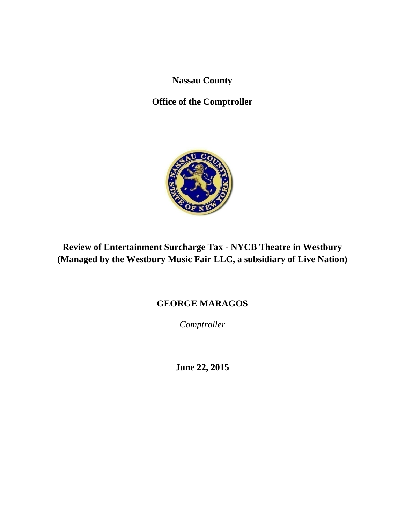**Nassau County** 

**Office of the Comptroller** 



# **Review of Entertainment Surcharge Tax - NYCB Theatre in Westbury (Managed by the Westbury Music Fair LLC, a subsidiary of Live Nation)**

# **GEORGE MARAGOS**

*Comptroller* 

**June 22, 2015**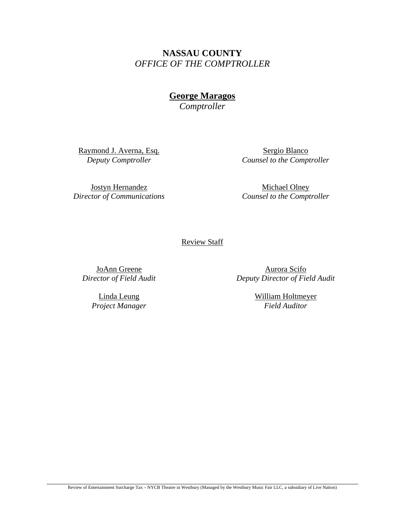**NASSAU COUNTY**  *OFFICE OF THE COMPTROLLER* 

**George Maragos** 

*Comptroller* 

Raymond J. Averna, Esq. *Deputy Comptroller* 

Sergio Blanco *Counsel to the Comptroller* 

Jostyn Hernandez *Director of Communications* 

Michael Olney *Counsel to the Comptroller* 

Review Staff

JoAnn Greene *Director of Field Audit* 

> Linda Leung *Project Manager*

Aurora Scifo *Deputy Director of Field Audit* 

> William Holtmeyer *Field Auditor*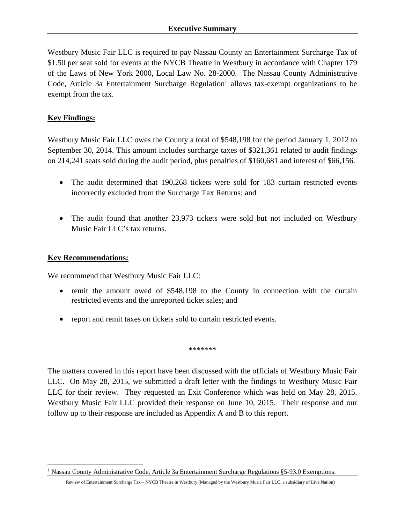Westbury Music Fair LLC is required to pay Nassau County an Entertainment Surcharge Tax of \$1.50 per seat sold for events at the NYCB Theatre in Westbury in accordance with Chapter 179 of the Laws of New York 2000, Local Law No. 28-2000. The Nassau County Administrative Code, Article 3a Entertainment Surcharge Regulation<sup>1</sup> allows tax-exempt organizations to be exempt from the tax.

### **Key Findings:**

Westbury Music Fair LLC owes the County a total of \$548,198 for the period January 1, 2012 to September 30, 2014. This amount includes surcharge taxes of \$321,361 related to audit findings on 214,241 seats sold during the audit period, plus penalties of \$160,681 and interest of \$66,156.

- The audit determined that 190,268 tickets were sold for 183 curtain restricted events incorrectly excluded from the Surcharge Tax Returns; and
- The audit found that another 23,973 tickets were sold but not included on Westbury Music Fair LLC's tax returns.

#### **Key Recommendations:**

<u>.</u>

We recommend that Westbury Music Fair LLC:

- remit the amount owed of \$548,198 to the County in connection with the curtain restricted events and the unreported ticket sales; and
- report and remit taxes on tickets sold to curtain restricted events.

\*\*\*\*\*\*\*

The matters covered in this report have been discussed with the officials of Westbury Music Fair LLC. On May 28, 2015, we submitted a draft letter with the findings to Westbury Music Fair LLC for their review. They requested an Exit Conference which was held on May 28, 2015. Westbury Music Fair LLC provided their response on June 10, 2015. Their response and our follow up to their response are included as Appendix A and B to this report.

<sup>&</sup>lt;sup>1</sup> Nassau County Administrative Code, Article 3a Entertainment Surcharge Regulations §5-93.0 Exemptions.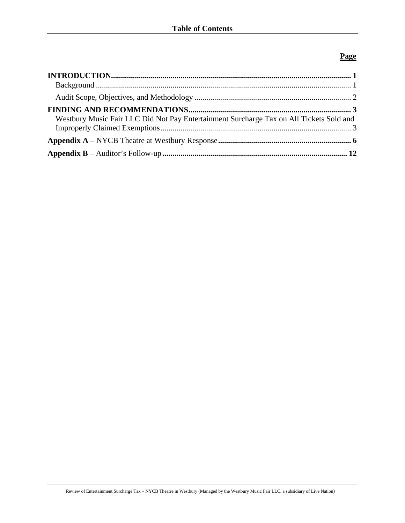### **Page**

| Westbury Music Fair LLC Did Not Pay Entertainment Surcharge Tax on All Tickets Sold and |  |
|-----------------------------------------------------------------------------------------|--|
|                                                                                         |  |
|                                                                                         |  |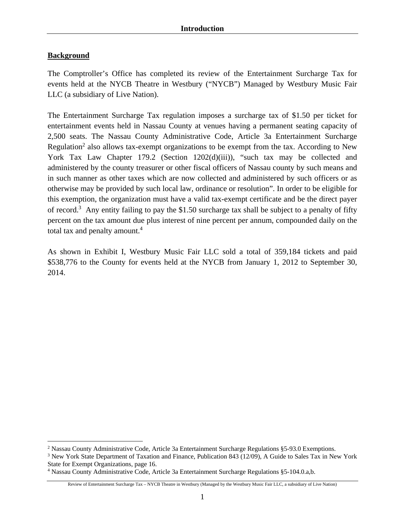### **Background**

 $\overline{a}$ 

The Comptroller's Office has completed its review of the Entertainment Surcharge Tax for events held at the NYCB Theatre in Westbury ("NYCB") Managed by Westbury Music Fair LLC (a subsidiary of Live Nation).

The Entertainment Surcharge Tax regulation imposes a surcharge tax of \$1.50 per ticket for entertainment events held in Nassau County at venues having a permanent seating capacity of 2,500 seats. The Nassau County Administrative Code, Article 3a Entertainment Surcharge Regulation<sup>2</sup> also allows tax-exempt organizations to be exempt from the tax. According to New York Tax Law Chapter 179.2 (Section 1202(d)(iii)), "such tax may be collected and administered by the county treasurer or other fiscal officers of Nassau county by such means and in such manner as other taxes which are now collected and administered by such officers or as otherwise may be provided by such local law, ordinance or resolution". In order to be eligible for this exemption, the organization must have a valid tax-exempt certificate and be the direct payer of record.<sup>3</sup> Any entity failing to pay the \$1.50 surcharge tax shall be subject to a penalty of fifty percent on the tax amount due plus interest of nine percent per annum, compounded daily on the total tax and penalty amount.<sup>4</sup>

As shown in Exhibit I, Westbury Music Fair LLC sold a total of 359,184 tickets and paid \$538,776 to the County for events held at the NYCB from January 1, 2012 to September 30, 2014.

<sup>&</sup>lt;sup>2</sup> Nassau County Administrative Code, Article 3a Entertainment Surcharge Regulations §5-93.0 Exemptions.

<sup>&</sup>lt;sup>3</sup> New York State Department of Taxation and Finance, Publication 843 (12/09), A Guide to Sales Tax in New York State for Exempt Organizations, page 16.

<sup>4</sup> Nassau County Administrative Code, Article 3a Entertainment Surcharge Regulations §5-104.0.a,b.

Review of Entertainment Surcharge Tax – NYCB Theatre in Westbury (Managed by the Westbury Music Fair LLC, a subsidiary of Live Nation)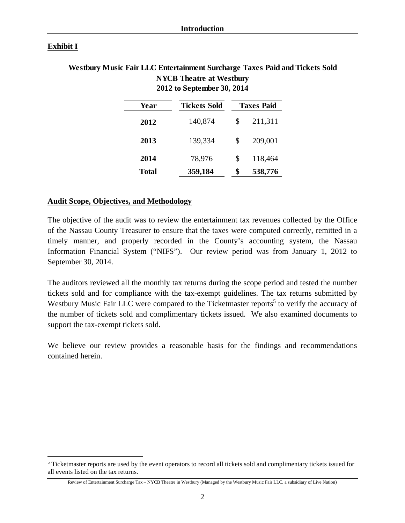#### **Exhibit I**

 $\overline{a}$ 

### **Westbury Music Fair LLC Entertainment Surcharge Taxes Paid and Tickets Sold NYCB Theatre at Westbury 2012 to September 30, 2014**

| Year         | <b>Tickets Sold</b> | <b>Taxes Paid</b> |  |  |
|--------------|---------------------|-------------------|--|--|
| 2012         | 140,874             | \$<br>211,311     |  |  |
| 2013         | 139,334             | \$<br>209,001     |  |  |
| 2014         | 78,976              | \$<br>118,464     |  |  |
| <b>Total</b> | 359,184             | \$<br>538,776     |  |  |

#### **Audit Scope, Objectives, and Methodology**

The objective of the audit was to review the entertainment tax revenues collected by the Office of the Nassau County Treasurer to ensure that the taxes were computed correctly, remitted in a timely manner, and properly recorded in the County's accounting system, the Nassau Information Financial System ("NIFS"). Our review period was from January 1, 2012 to September 30, 2014.

The auditors reviewed all the monthly tax returns during the scope period and tested the number tickets sold and for compliance with the tax-exempt guidelines. The tax returns submitted by Westbury Music Fair LLC were compared to the Ticketmaster reports<sup>5</sup> to verify the accuracy of the number of tickets sold and complimentary tickets issued. We also examined documents to support the tax-exempt tickets sold.

We believe our review provides a reasonable basis for the findings and recommendations contained herein.

<sup>&</sup>lt;sup>5</sup> Ticketmaster reports are used by the event operators to record all tickets sold and complimentary tickets issued for all events listed on the tax returns.

Review of Entertainment Surcharge Tax – NYCB Theatre in Westbury (Managed by the Westbury Music Fair LLC, a subsidiary of Live Nation)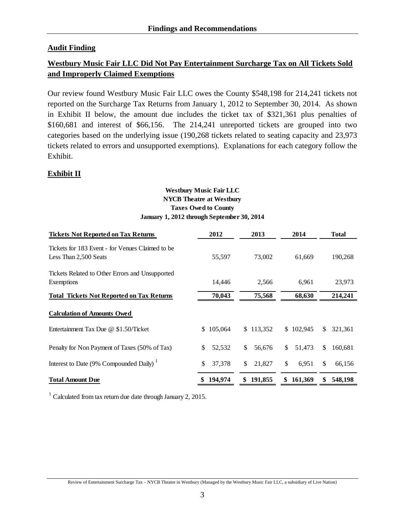### **Audit Finding**

### **Westbury Music Fair LLC Did Not Pay Entertainment Surcharge Tax on All Tickets Sold and Improperly Claimed Exemptions**

Our review found Westbury Music Fair LLC owes the County \$548,198 for 214,241 tickets not reported on the Surcharge Tax Returns from January 1, 2012 to September 30, 2014. As shown in Exhibit II below, the amount due includes the ticket tax of \$321,361 plus penalties of \$160,681 and interest of \$66,156. The 214,241 unreported tickets are grouped into two categories based on the underlying issue (190,268 tickets related to seating capacity and 23,973 tickets related to errors and unsupported exemptions). Explanations for each category follow the Exhibit.

### **Exhibit II**

#### **Westbury Music Fair LLC Taxes Owed to County January 1, 2012 through September 30, 2014 NYCB Theatre at Westbury**

| <b>Tickets Not Reported on Tax Returns</b>                                  | 2012          | 2013                   | 2014          | <b>Total</b>             |
|-----------------------------------------------------------------------------|---------------|------------------------|---------------|--------------------------|
| Tickets for 183 Event - for Venues Claimed to be<br>Less Than 2,500 Seats   | 55,597        | 73,002                 | 61,669        | 190,268                  |
| Tickets Related to Other Errors and Unsupported<br>Exemptions               | 14,446        | 2,566                  | 6,961         | 23,973                   |
| <b>Total Tickets Not Reported on Tax Returns</b>                            | 70,043        | 75,568                 | 68,630        | 214,241                  |
| <b>Calculation of Amounts Owed</b><br>Entertainment Tax Due @ \$1.50/Ticket | 105,064<br>S. | \$113,352              | \$102,945     | 321,361<br>\$            |
| Penalty for Non Payment of Taxes (50% of Tax)                               | \$<br>52,532  | $\mathbb{S}$<br>56,676 | \$.<br>51.473 | 160,681<br><sup>\$</sup> |
| Interest to Date (9% Compounded Daily) <sup>1</sup>                         | \$<br>37,378  | \$<br>21,827           | \$<br>6,951   | $\mathbb{S}$<br>66,156   |
| <b>Total Amount Due</b>                                                     | 194,974       | 191,855<br>\$          | 161,369<br>\$ | \$<br>548,198            |

<sup>1</sup> Calculated from tax return due date through January 2, 2015.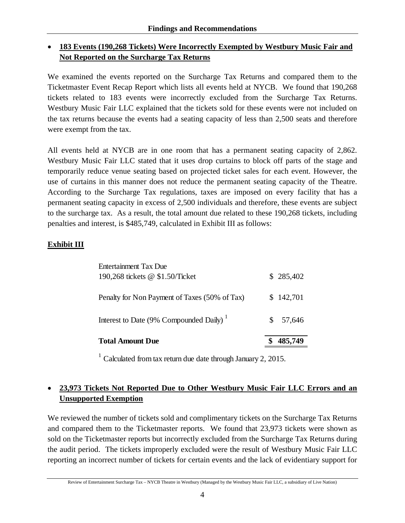## **183 Events (190,268 Tickets) Were Incorrectly Exempted by Westbury Music Fair and Not Reported on the Surcharge Tax Returns**

We examined the events reported on the Surcharge Tax Returns and compared them to the Ticketmaster Event Recap Report which lists all events held at NYCB. We found that 190,268 tickets related to 183 events were incorrectly excluded from the Surcharge Tax Returns. Westbury Music Fair LLC explained that the tickets sold for these events were not included on the tax returns because the events had a seating capacity of less than 2,500 seats and therefore were exempt from the tax.

All events held at NYCB are in one room that has a permanent seating capacity of 2,862. Westbury Music Fair LLC stated that it uses drop curtains to block off parts of the stage and temporarily reduce venue seating based on projected ticket sales for each event. However, the use of curtains in this manner does not reduce the permanent seating capacity of the Theatre. According to the Surcharge Tax regulations, taxes are imposed on every facility that has a permanent seating capacity in excess of 2,500 individuals and therefore, these events are subject to the surcharge tax. As a result, the total amount due related to these 190,268 tickets, including penalties and interest, is \$485,749, calculated in Exhibit III as follows:

## **Exhibit III**

| <b>Total Amount Due</b>                                  |     |           |
|----------------------------------------------------------|-----|-----------|
| Interest to Date (9% Compounded Daily) <sup>1</sup>      | SS. | 57,646    |
| Penalty for Non Payment of Taxes (50% of Tax)            |     | \$142,701 |
| Entertainment Tax Due<br>190,268 tickets @ \$1.50/Ticket |     | \$285,402 |

 $1$  Calculated from tax return due date through January 2, 2015.

### **23,973 Tickets Not Reported Due to Other Westbury Music Fair LLC Errors and an Unsupported Exemption**

We reviewed the number of tickets sold and complimentary tickets on the Surcharge Tax Returns and compared them to the Ticketmaster reports. We found that 23,973 tickets were shown as sold on the Ticketmaster reports but incorrectly excluded from the Surcharge Tax Returns during the audit period. The tickets improperly excluded were the result of Westbury Music Fair LLC reporting an incorrect number of tickets for certain events and the lack of evidentiary support for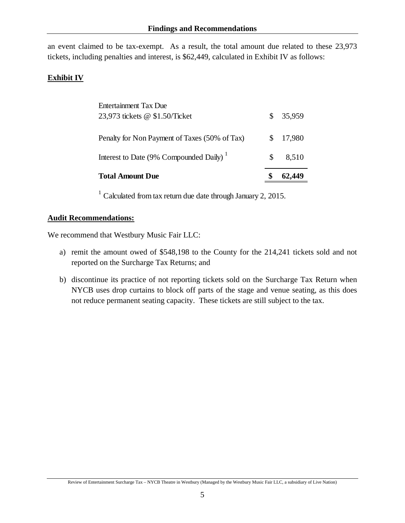an event claimed to be tax-exempt. As a result, the total amount due related to these 23,973 tickets, including penalties and interest, is \$62,449, calculated in Exhibit IV as follows:

### **Exhibit IV**

| <b>Total Amount Due</b>                             |    |        |
|-----------------------------------------------------|----|--------|
| Interest to Date (9% Compounded Daily) <sup>1</sup> | S  | 8,510  |
| Penalty for Non Payment of Taxes (50% of Tax)       | S. | 17,980 |
| 23,973 tickets @ \$1.50/Ticket                      | S. | 35,959 |
| Entertainment Tax Due                               |    |        |

 $1$  Calculated from tax return due date through January 2, 2015.

#### **Audit Recommendations:**

We recommend that Westbury Music Fair LLC:

- a) remit the amount owed of \$548,198 to the County for the 214,241 tickets sold and not reported on the Surcharge Tax Returns; and
- b) discontinue its practice of not reporting tickets sold on the Surcharge Tax Return when NYCB uses drop curtains to block off parts of the stage and venue seating, as this does not reduce permanent seating capacity. These tickets are still subject to the tax.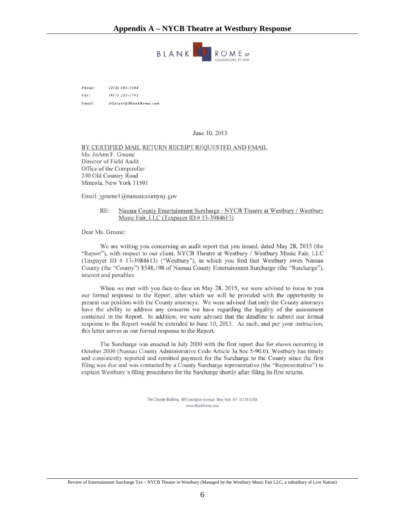#### **Appendix A – NYCB Theatre at Westbury Response**



Phone:  $(212) 885 - 5304$  $(917)$  332-3741  $Fax$ : JGulant@BlankRome.com Email:

June 10, 2015

BY CERTIFIED MAIL RETURN RECEIPT REQUESTED AND EMAIL Ms. JoAnn F. Greene Director of Field Audit Office of the Comptroller 240 Old Country Road Mineola, New York 11501

Email: jgreenel@nassaucountyny.gov

#### RE: Nassau County Entertainment Surcharge - NYCB Theatre at Westbury / Westbury Music Fair, LLC (Taxpayer ID # 13-3984613)

Dear Ms. Greene:

We are writing you concerning an audit report that you issued, dated May 28, 2015 (the "Report"), with respect to our client, NYCB Theatre at Westbury / Westbury Music Fair, LLC (Taxpayer ID # 13-3984613) ("Westbury"), in which you find that Westbury owes Nassau County (the "County") \$548,198 of Nassau County Entertainment Surcharge (the "Surcharge"), interest and penalties.

When we met with you face-to-face on May 28, 2015, we were advised to issue to you our formal response to the Report, after which we will be provided with the opportunity to present our position with the County attorneys. We were advised that only the County attorneys have the ability to address any concerns we have regarding the legality of the assessment contained in the Report. In addition, we were advised that the deadline to submit our formal response to the Report would be extended to June 10, 2015. As such, and per your instruction, this letter serves as our formal response to the Report.

The Surcharge was enacted in July 2000 with the first report due for shows occurring in October 2000 (Nassau County Administrative Code Article 3a Sec 5-90.0). Westbury has timely and consistently reported and remitted payment for the Surcharge to the County since the first filing was due and was contacted by a County Surcharge representative (the "Representative") to explain Westbury's filing procedures for the Surcharge shortly after filing its first returns.

> The Chrysler Building 405 Lexington Avenue New York, NY 10174-0208 www.BlankRome.com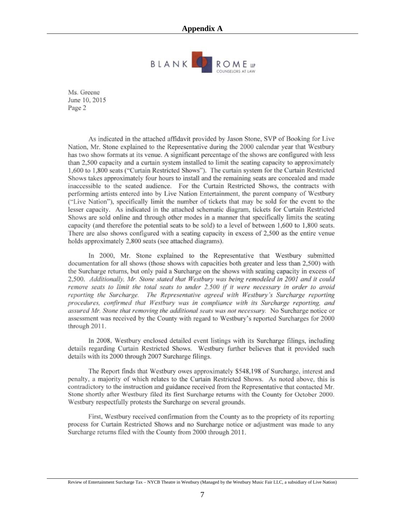

Ms. Greene June 10, 2015 Page 2

As indicated in the attached affidavit provided by Jason Stone, SVP of Booking for Live Nation, Mr. Stone explained to the Representative during the 2000 calendar year that Westbury has two show formats at its venue. A significant percentage of the shows are configured with less than 2,500 capacity and a curtain system installed to limit the seating capacity to approximately 1,600 to 1,800 seats ("Curtain Restricted Shows"). The curtain system for the Curtain Restricted Shows takes approximately four hours to install and the remaining seats are concealed and made inaccessible to the seated audience. For the Curtain Restricted Shows, the contracts with performing artists entered into by Live Nation Entertainment, the parent company of Westbury ("Live Nation"), specifically limit the number of tickets that may be sold for the event to the lesser capacity. As indicated in the attached schematic diagram, tickets for Curtain Restricted Shows are sold online and through other modes in a manner that specifically limits the seating capacity (and therefore the potential seats to be sold) to a level of between 1,600 to 1,800 seats. There are also shows configured with a seating capacity in excess of 2,500 as the entire venue holds approximately 2,800 seats (see attached diagrams).

In 2000, Mr. Stone explained to the Representative that Westbury submitted documentation for all shows (those shows with capacities both greater and less than 2,500) with the Surcharge returns, but only paid a Surcharge on the shows with seating capacity in excess of 2,500. Additionally, Mr. Stone stated that Westbury was being remodeled in 2001 and it could remove seats to limit the total seats to under 2,500 if it were necessary in order to avoid reporting the Surcharge. The Representative agreed with Westbury's Surcharge reporting procedures, confirmed that Westbury was in compliance with its Surcharge reporting, and assured Mr. Stone that removing the additional seats was not necessary. No Surcharge notice or assessment was received by the County with regard to Westbury's reported Surcharges for 2000 through 2011.

In 2008, Westbury enclosed detailed event listings with its Surcharge filings, including details regarding Curtain Restricted Shows. Westbury further believes that it provided such details with its 2000 through 2007 Surcharge filings.

The Report finds that Westbury owes approximately \$548,198 of Surcharge, interest and penalty, a majority of which relates to the Curtain Restricted Shows. As noted above, this is contradictory to the instruction and guidance received from the Representative that contacted Mr. Stone shortly after Westbury filed its first Surcharge returns with the County for October 2000. Westbury respectfully protests the Surcharge on several grounds.

First, Westbury received confirmation from the County as to the propriety of its reporting process for Curtain Restricted Shows and no Surcharge notice or adjustment was made to any Surcharge returns filed with the County from 2000 through 2011.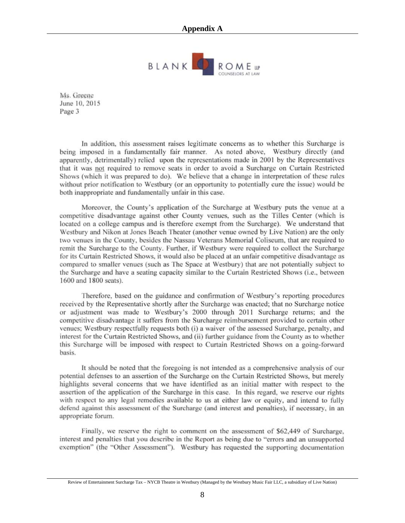

Ms. Greene June 10, 2015 Page 3

In addition, this assessment raises legitimate concerns as to whether this Surcharge is being imposed in a fundamentally fair manner. As noted above, Westbury directly (and apparently, detrimentally) relied upon the representations made in 2001 by the Representatives that it was not required to remove seats in order to avoid a Surcharge on Curtain Restricted Shows (which it was prepared to do). We believe that a change in interpretation of these rules without prior notification to Westbury (or an opportunity to potentially cure the issue) would be both inappropriate and fundamentally unfair in this case.

Moreover, the County's application of the Surcharge at Westbury puts the venue at a competitive disadvantage against other County venues, such as the Tilles Center (which is located on a college campus and is therefore exempt from the Surcharge). We understand that Westbury and Nikon at Jones Beach Theater (another venue owned by Live Nation) are the only two venues in the County, besides the Nassau Veterans Memorial Coliseum, that are required to remit the Surcharge to the County. Further, if Westbury were required to collect the Surcharge for its Curtain Restricted Shows, it would also be placed at an unfair competitive disadvantage as compared to smaller venues (such as The Space at Westbury) that are not potentially subject to the Surcharge and have a seating capacity similar to the Curtain Restricted Shows (i.e., between 1600 and 1800 seats).

Therefore, based on the guidance and confirmation of Westbury's reporting procedures received by the Representative shortly after the Surcharge was enacted; that no Surcharge notice or adjustment was made to Westbury's 2000 through 2011 Surcharge returns; and the competitive disadvantage it suffers from the Surcharge reimbursement provided to certain other venues; Westbury respectfully requests both (i) a waiver of the assessed Surcharge, penalty, and interest for the Curtain Restricted Shows, and (ii) further guidance from the County as to whether this Surcharge will be imposed with respect to Curtain Restricted Shows on a going-forward basis.

It should be noted that the foregoing is not intended as a comprehensive analysis of our potential defenses to an assertion of the Surcharge on the Curtain Restricted Shows, but merely highlights several concerns that we have identified as an initial matter with respect to the assertion of the application of the Surcharge in this case. In this regard, we reserve our rights with respect to any legal remedies available to us at either law or equity, and intend to fully defend against this assessment of the Surcharge (and interest and penalties), if necessary, in an appropriate forum.

Finally, we reserve the right to comment on the assessment of \$62,449 of Surcharge, interest and penalties that you describe in the Report as being due to "errors and an unsupported exemption" (the "Other Assessment"). Westbury has requested the supporting documentation

Review of Entertainment Surcharge Tax – NYCB Theatre in Westbury (Managed by the Westbury Music Fair LLC, a subsidiary of Live Nation)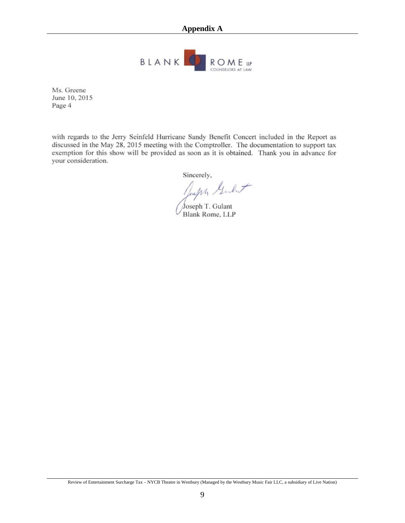

Ms. Greene June 10, 2015 Page 4

with regards to the Jerry Seinfeld Hurricane Sandy Benefit Concert included in the Report as discussed in the May 28, 2015 meeting with the Comptroller. The documentation to support tax exemption for this show will be provided as soon as it is obtained. Thank you in advance for your consideration.

Sincerely,

Sincerely.<br>July Gulut

Joseph T. Gulant<br>Blank Rome, LLP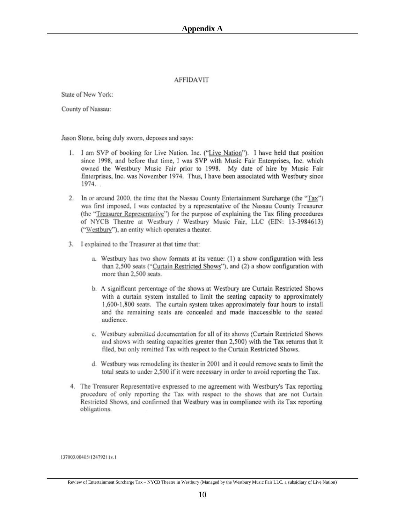#### **AFFIDAVIT**

State of New York:

County of Nassau:

Jason Stone, being duly sworn, deposes and says:

- 1. I am SVP of booking for Live Nation. Inc. ("Live Nation"). I have held that position since 1998, and before that time, I was SVP with Music Fair Enterprises, Inc. which owned the Westbury Music Fair prior to 1998. My date of hire by Music Fair Enterprises, Inc. was November 1974. Thus, I have been associated with Westbury since 1974.
- 2. In or around 2000, the time that the Nassau County Entertainment Surcharge (the "Tax") was first imposed, I was contacted by a representative of the Nassau County Treasurer (the "Treasurer Representative") for the purpose of explaining the Tax filing procedures of NYCB Theatre at Westbury / Westbury Music Fair, LLC (EIN: 13-3984613) ("Westbury"), an entity which operates a theater.
- 3. I explained to the Treasurer at that time that:
	- a. Westbury has two show formats at its venue: (1) a show configuration with less than 2,500 seats ("Curtain Restricted Shows"), and (2) a show configuration with more than 2,500 seats.
	- b. A significant percentage of the shows at Westbury are Curtain Restricted Shows with a curtain system installed to limit the seating capacity to approximately 1,600-1,800 seats. The curtain system takes approximately four hours to install and the remaining seats are concealed and made inaccessible to the seated audience.
	- c. Westbury submitted documentation for all of its shows (Curtain Restricted Shows and shows with seating capacities greater than 2,500) with the Tax returns that it filed, but only remitted Tax with respect to the Curtain Restricted Shows.
	- d. Westbury was remodeling its theater in 2001 and it could remove seats to limit the total seats to under 2,500 if it were necessary in order to avoid reporting the Tax.
- 4. The Treasurer Representative expressed to me agreement with Westbury's Tax reporting procedure of only reporting the Tax with respect to the shows that are not Curtain Restricted Shows, and confirmed that Westbury was in compliance with its Tax reporting obligations.

137003.00405/12479211v.1

Review of Entertainment Surcharge Tax – NYCB Theatre in Westbury (Managed by the Westbury Music Fair LLC, a subsidiary of Live Nation)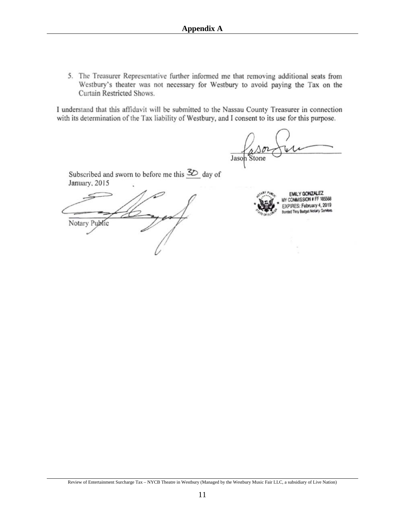5. The Treasurer Representative further informed me that removing additional seats from Westbury's theater was not necessary for Westbury to avoid paying the Tax on the Curtain Restricted Shows.

I understand that this affidavit will be submitted to the Nassau County Treasurer in connection with its determination of the Tax liability of Westbury, and I consent to its use for this purpose.

Jason

Subscribed and sworn to before me this  $\mathcal{Z}_{\mathcal{D}}$  day of January, 2015

Notary Public



EMILY GONZALEZ COMMISSION # FF 185568 EXPIRES: February 4, 2019 Bonded Thru Budget Notary Services

Review of Entertainment Surcharge Tax – NYCB Theatre in Westbury (Managed by the Westbury Music Fair LLC, a subsidiary of Live Nation)